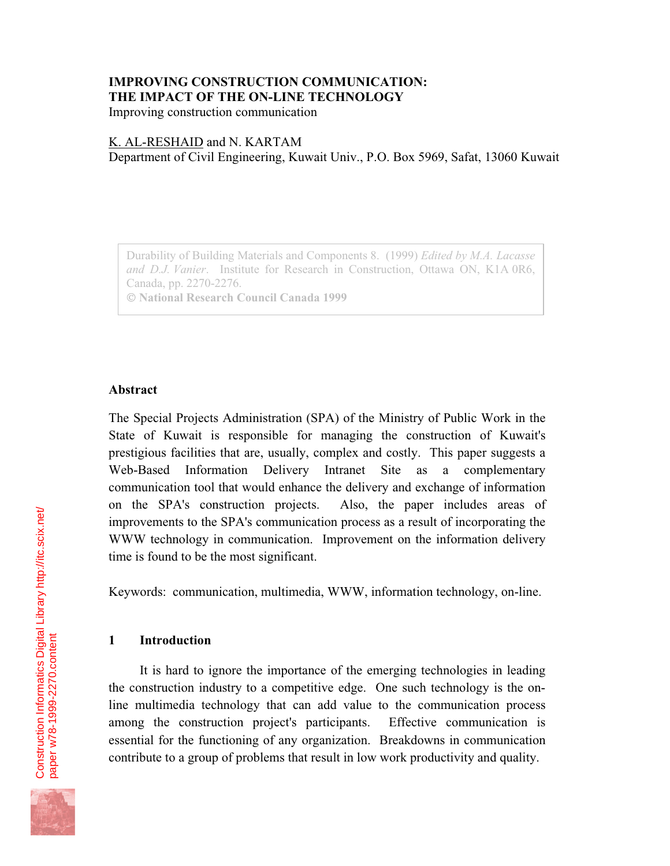# **IMPROVING CONSTRUCTION COMMUNICATION: THE IMPACT OF THE ON-LINE TECHNOLOGY**

Improving construction communication

#### K. AL-RESHAID and N. KARTAM

Department of Civil Engineering, Kuwait Univ., P.O. Box 5969, Safat, 13060 Kuwait

Durability of Building Materials and Components 8. (1999) *Edited by M.A. Lacasse and D.J. Vanier*. Institute for Research in Construction, Ottawa ON, K1A 0R6, Canada, pp. 2270-2276.  **National Research Council Canada 1999**

#### **Abstract**

The Special Projects Administration (SPA) of the Ministry of Public Work in the State of Kuwait is responsible for managing the construction of Kuwait's prestigious facilities that are, usually, complex and costly. This paper suggests a Web-Based Information Delivery Intranet Site as a complementary communication tool that would enhance the delivery and exchange of information on the SPA's construction projects. Also, the paper includes areas of improvements to the SPA's communication process as a result of incorporating the WWW technology in communication. Improvement on the information delivery time is found to be the most significant.

Keywords: communication, multimedia, WWW, information technology, on-line.

## **1 Introduction**

It is hard to ignore the importance of the emerging technologies in leading the construction industry to a competitive edge. One such technology is the online multimedia technology that can add value to the communication process among the construction project's participants. Effective communication is essential for the functioning of any organization. Breakdowns in communication contribute to a group of problems that result in low work productivity and quality.

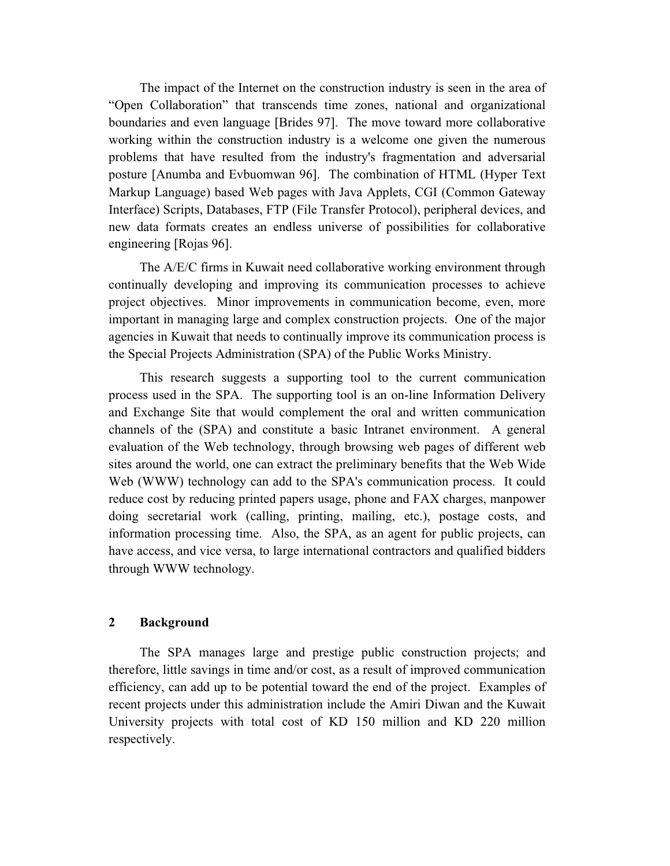The impact of the Internet on the construction industry is seen in the area of "Open Collaboration" that transcends time zones, national and organizational boundaries and even language [Brides 97]. The move toward more collaborative working within the construction industry is a welcome one given the numerous problems that have resulted from the industry's fragmentation and adversarial posture [Anumba and Evbuomwan 96]. The combination of HTML (Hyper Text Markup Language) based Web pages with Java Applets, CGI (Common Gateway Interface) Scripts, Databases, FTP (File Transfer Protocol), peripheral devices, and new data formats creates an endless universe of possibilities for collaborative engineering [Rojas 96].

The A/E/C firms in Kuwait need collaborative working environment through continually developing and improving its communication processes to achieve project objectives. Minor improvements in communication become, even, more important in managing large and complex construction projects. One of the major agencies in Kuwait that needs to continually improve its communication process is the Special Projects Administration (SPA) of the Public Works Ministry.

This research suggests a supporting tool to the current communication process used in the SPA. The supporting tool is an on-line Information Delivery and Exchange Site that would complement the oral and written communication channels of the (SPA) and constitute a basic Intranet environment. A general evaluation of the Web technology, through browsing web pages of different web sites around the world, one can extract the preliminary benefits that the Web Wide Web (WWW) technology can add to the SPA's communication process. It could reduce cost by reducing printed papers usage, phone and FAX charges, manpower doing secretarial work (calling, printing, mailing, etc.), postage costs, and information processing time. Also, the SPA, as an agent for public projects, can have access, and vice versa, to large international contractors and qualified bidders through WWW technology.

#### **2 Background**

The SPA manages large and prestige public construction projects; and therefore, little savings in time and/or cost, as a result of improved communication efficiency, can add up to be potential toward the end of the project. Examples of recent projects under this administration include the Amiri Diwan and the Kuwait University projects with total cost of KD 150 million and KD 220 million respectively.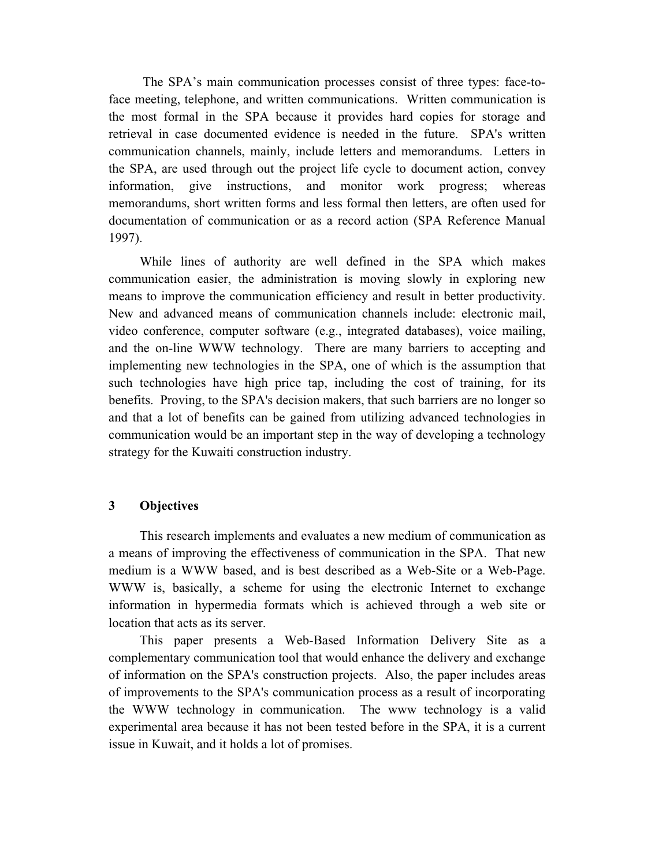The SPA's main communication processes consist of three types: face-toface meeting, telephone, and written communications. Written communication is the most formal in the SPA because it provides hard copies for storage and retrieval in case documented evidence is needed in the future. SPA's written communication channels, mainly, include letters and memorandums. Letters in the SPA, are used through out the project life cycle to document action, convey information, give instructions, and monitor work progress; whereas memorandums, short written forms and less formal then letters, are often used for documentation of communication or as a record action (SPA Reference Manual 1997).

While lines of authority are well defined in the SPA which makes communication easier, the administration is moving slowly in exploring new means to improve the communication efficiency and result in better productivity. New and advanced means of communication channels include: electronic mail, video conference, computer software (e.g., integrated databases), voice mailing, and the on-line WWW technology. There are many barriers to accepting and implementing new technologies in the SPA, one of which is the assumption that such technologies have high price tap, including the cost of training, for its benefits. Proving, to the SPA's decision makers, that such barriers are no longer so and that a lot of benefits can be gained from utilizing advanced technologies in communication would be an important step in the way of developing a technology strategy for the Kuwaiti construction industry.

## **3 Objectives**

This research implements and evaluates a new medium of communication as a means of improving the effectiveness of communication in the SPA. That new medium is a WWW based, and is best described as a Web-Site or a Web-Page. WWW is, basically, a scheme for using the electronic Internet to exchange information in hypermedia formats which is achieved through a web site or location that acts as its server.

This paper presents a Web-Based Information Delivery Site as a complementary communication tool that would enhance the delivery and exchange of information on the SPA's construction projects. Also, the paper includes areas of improvements to the SPA's communication process as a result of incorporating the WWW technology in communication. The www technology is a valid experimental area because it has not been tested before in the SPA, it is a current issue in Kuwait, and it holds a lot of promises.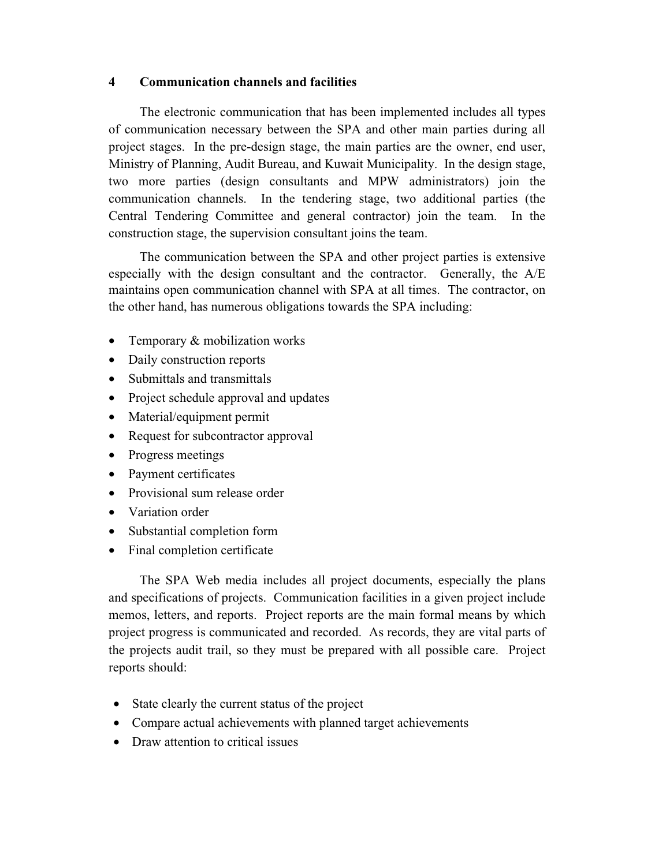## **4 Communication channels and facilities**

The electronic communication that has been implemented includes all types of communication necessary between the SPA and other main parties during all project stages. In the pre-design stage, the main parties are the owner, end user, Ministry of Planning, Audit Bureau, and Kuwait Municipality. In the design stage, two more parties (design consultants and MPW administrators) join the communication channels. In the tendering stage, two additional parties (the Central Tendering Committee and general contractor) join the team. In the construction stage, the supervision consultant joins the team.

The communication between the SPA and other project parties is extensive especially with the design consultant and the contractor. Generally, the A/E maintains open communication channel with SPA at all times. The contractor, on the other hand, has numerous obligations towards the SPA including:

- Temporary & mobilization works
- Daily construction reports
- Submittals and transmittals
- Project schedule approval and updates
- Material/equipment permit
- Request for subcontractor approval
- Progress meetings
- Payment certificates
- Provisional sum release order
- Variation order
- Substantial completion form
- Final completion certificate

The SPA Web media includes all project documents, especially the plans and specifications of projects. Communication facilities in a given project include memos, letters, and reports. Project reports are the main formal means by which project progress is communicated and recorded. As records, they are vital parts of the projects audit trail, so they must be prepared with all possible care. Project reports should:

- State clearly the current status of the project
- Compare actual achievements with planned target achievements
- Draw attention to critical issues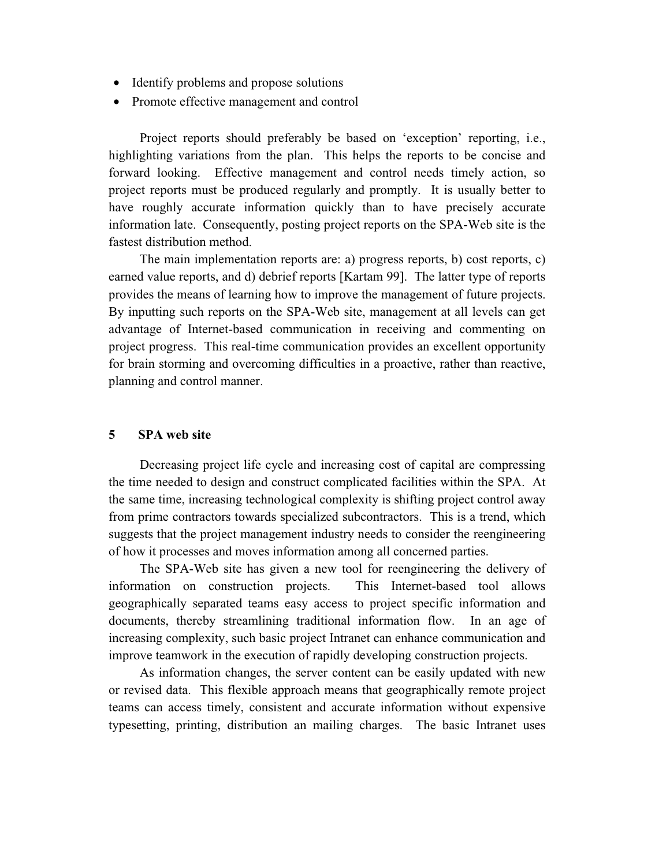- Identify problems and propose solutions
- Promote effective management and control

Project reports should preferably be based on 'exception' reporting, i.e., highlighting variations from the plan. This helps the reports to be concise and forward looking. Effective management and control needs timely action, so project reports must be produced regularly and promptly. It is usually better to have roughly accurate information quickly than to have precisely accurate information late. Consequently, posting project reports on the SPA-Web site is the fastest distribution method.

The main implementation reports are: a) progress reports, b) cost reports, c) earned value reports, and d) debrief reports [Kartam 99]. The latter type of reports provides the means of learning how to improve the management of future projects. By inputting such reports on the SPA-Web site, management at all levels can get advantage of Internet-based communication in receiving and commenting on project progress. This real-time communication provides an excellent opportunity for brain storming and overcoming difficulties in a proactive, rather than reactive, planning and control manner.

## **5 SPA web site**

Decreasing project life cycle and increasing cost of capital are compressing the time needed to design and construct complicated facilities within the SPA. At the same time, increasing technological complexity is shifting project control away from prime contractors towards specialized subcontractors. This is a trend, which suggests that the project management industry needs to consider the reengineering of how it processes and moves information among all concerned parties.

The SPA-Web site has given a new tool for reengineering the delivery of information on construction projects. This Internet-based tool allows geographically separated teams easy access to project specific information and documents, thereby streamlining traditional information flow. In an age of increasing complexity, such basic project Intranet can enhance communication and improve teamwork in the execution of rapidly developing construction projects.

As information changes, the server content can be easily updated with new or revised data. This flexible approach means that geographically remote project teams can access timely, consistent and accurate information without expensive typesetting, printing, distribution an mailing charges. The basic Intranet uses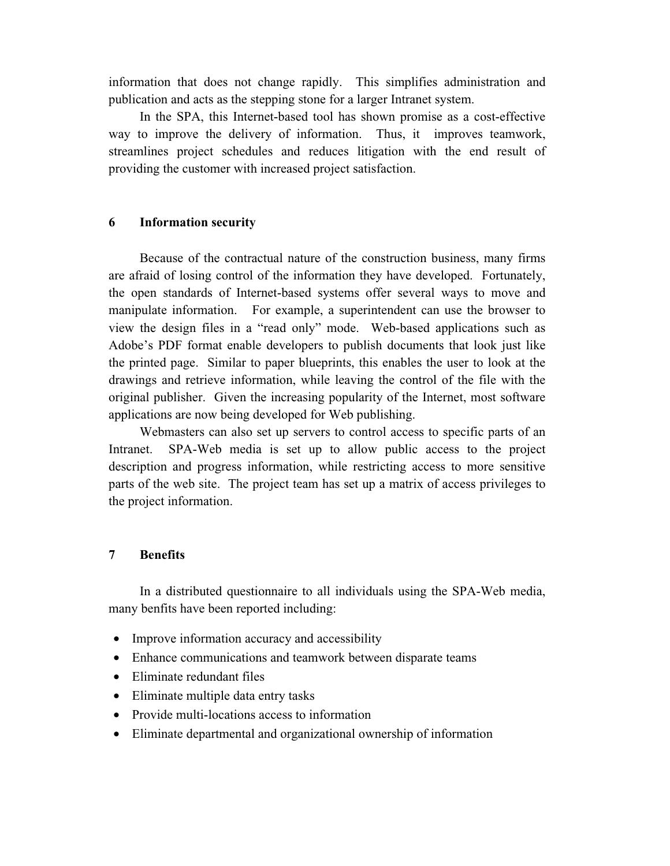information that does not change rapidly. This simplifies administration and publication and acts as the stepping stone for a larger Intranet system.

In the SPA, this Internet-based tool has shown promise as a cost-effective way to improve the delivery of information. Thus, it improves teamwork, streamlines project schedules and reduces litigation with the end result of providing the customer with increased project satisfaction.

## **6 Information security**

Because of the contractual nature of the construction business, many firms are afraid of losing control of the information they have developed. Fortunately, the open standards of Internet-based systems offer several ways to move and manipulate information. For example, a superintendent can use the browser to view the design files in a "read only" mode. Web-based applications such as Adobe's PDF format enable developers to publish documents that look just like the printed page. Similar to paper blueprints, this enables the user to look at the drawings and retrieve information, while leaving the control of the file with the original publisher. Given the increasing popularity of the Internet, most software applications are now being developed for Web publishing.

Webmasters can also set up servers to control access to specific parts of an Intranet. SPA-Web media is set up to allow public access to the project description and progress information, while restricting access to more sensitive parts of the web site. The project team has set up a matrix of access privileges to the project information.

# **7 Benefits**

In a distributed questionnaire to all individuals using the SPA-Web media, many benfits have been reported including:

- Improve information accuracy and accessibility
- Enhance communications and teamwork between disparate teams
- Eliminate redundant files
- Eliminate multiple data entry tasks
- Provide multi-locations access to information
- Eliminate departmental and organizational ownership of information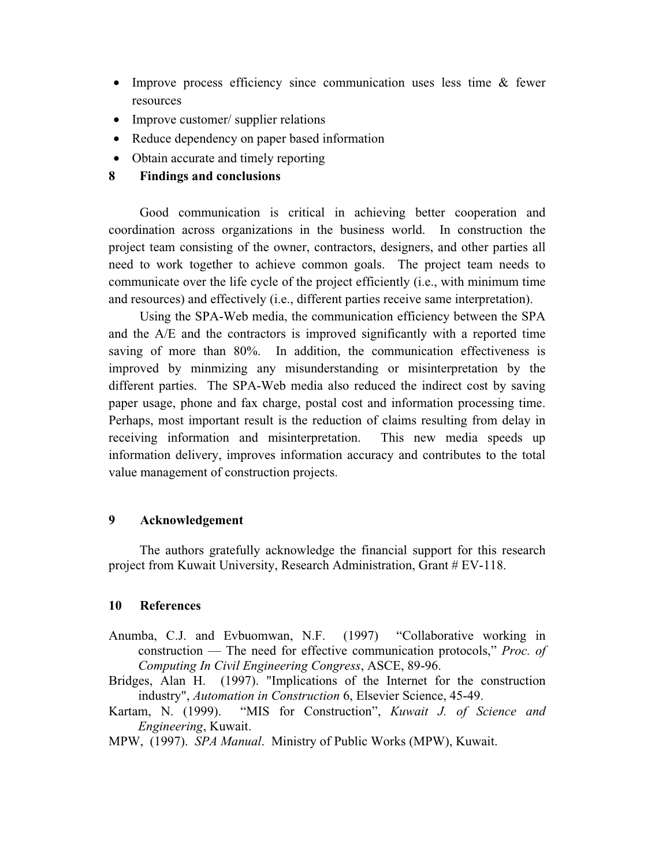- Improve process efficiency since communication uses less time & fewer resources
- Improve customer/ supplier relations
- Reduce dependency on paper based information
- Obtain accurate and timely reporting
- **8 Findings and conclusions**

Good communication is critical in achieving better cooperation and coordination across organizations in the business world. In construction the project team consisting of the owner, contractors, designers, and other parties all need to work together to achieve common goals. The project team needs to communicate over the life cycle of the project efficiently (i.e., with minimum time and resources) and effectively (i.e., different parties receive same interpretation).

Using the SPA-Web media, the communication efficiency between the SPA and the A/E and the contractors is improved significantly with a reported time saving of more than 80%. In addition, the communication effectiveness is improved by minmizing any misunderstanding or misinterpretation by the different parties. The SPA-Web media also reduced the indirect cost by saving paper usage, phone and fax charge, postal cost and information processing time. Perhaps, most important result is the reduction of claims resulting from delay in receiving information and misinterpretation. This new media speeds up information delivery, improves information accuracy and contributes to the total value management of construction projects.

## **9 Acknowledgement**

The authors gratefully acknowledge the financial support for this research project from Kuwait University, Research Administration, Grant # EV-118.

#### **10 References**

- Anumba, C.J. and Evbuomwan, N.F. (1997) "Collaborative working in construction — The need for effective communication protocols," *Proc. of Computing In Civil Engineering Congress*, ASCE, 89-96.
- Bridges, Alan H. (1997). "Implications of the Internet for the construction industry", *Automation in Construction* 6, Elsevier Science, 45-49.
- Kartam, N. (1999). "MIS for Construction", *Kuwait J. of Science and Engineering*, Kuwait.
- MPW, (1997). *SPA Manual*. Ministry of Public Works (MPW), Kuwait.